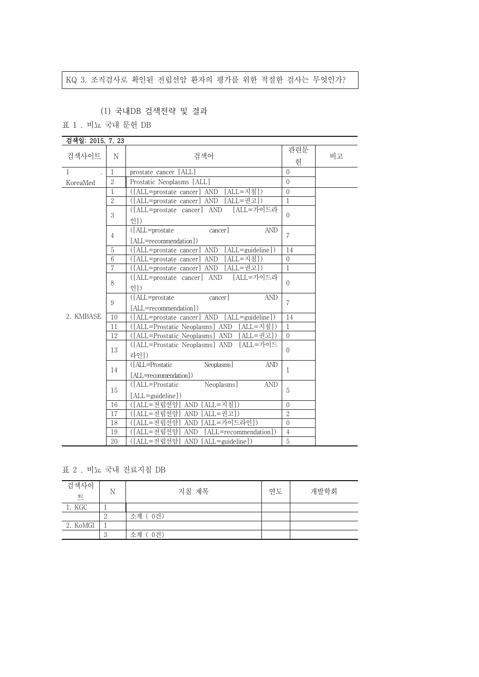# KQ 3. 조직검사로 확인된 전립선암 환자의 평가를 위한 적절한 검사는 무엇인가?

## (1) 국내DB 검색전략 및 결과

표 1 . 비뇨 국내 문헌 DB

| 검색일: 2015. 7. 23 |                   |                                                                      |                  |  |  |  |
|------------------|-------------------|----------------------------------------------------------------------|------------------|--|--|--|
| 검색사이트            | N                 | 관련문<br>검색어<br>비고<br>허                                                |                  |  |  |  |
| $\mathbf{1}$     | $\mathbf{1}$      | prostate cancer [ALL]                                                | $\Omega$         |  |  |  |
| KoreaMed         | $\overline{2}$    | Prostatic Neoplasms [ALL]                                            | $\overline{0}$   |  |  |  |
|                  | 1                 | ([ALL=prostate cancer] AND [ALL=지침])                                 | $\mathbf{0}$     |  |  |  |
|                  | $\mathcal{D}_{1}$ | ([ALL=prostate cancer] AND [ALL=권고])                                 | $\mathbf{1}$     |  |  |  |
|                  | 3                 | [ALL=가이드라<br>([ALL=prostate cancer] AND<br>인])                       | $\mathbf{0}$     |  |  |  |
|                  | 4                 | ([ALL=prostate<br><b>AND</b><br>cancer]<br>[ALL=recommendation])     | $\overline{7}$   |  |  |  |
|                  | 5                 | ([ALL=prostate cancer] AND [ALL=guideline])                          | 14               |  |  |  |
|                  | 6                 | ([ALL=prostate cancer] AND [ALL=지침])                                 | $\Omega$         |  |  |  |
|                  | 7                 | ([ALL=prostate cancer] AND [ALL=권고])                                 | $\mathbf{1}$     |  |  |  |
|                  | 8                 | [ALL=가이드라<br>([ALL=prostate cancer] AND<br>$?$ ])                    | $\Omega$         |  |  |  |
|                  | 9                 | ([ALL=prostate<br><b>AND</b><br>cancer]<br>[ALL=recommendation])     | $\overline{7}$   |  |  |  |
| 2. KMBASE        | 10                | ([ALL=prostate cancer] AND [ALL=guideline])                          | 14               |  |  |  |
|                  | 11                | ([ALL=Prostatic Neoplasms] AND [ALL=지침])                             | $\mathbf{1}$     |  |  |  |
|                  | 12                | ([ALL=Prostatic Neoplasms] AND [ALL=권고])                             | $\overline{0}$   |  |  |  |
|                  | 13                | ([ALL=Prostatic Neoplasms] AND [ALL=가이드<br>라인])                      | $\overline{0}$   |  |  |  |
|                  | 14                | ([ALL=Prostatic<br>Neoplasms]<br><b>AND</b><br>[ALL=recommendation]) | $\mathbf{1}$     |  |  |  |
|                  | 15                | Neoplasms]<br>([ALL=Prostatic<br><b>AND</b><br>[ALL=guideline])      | 5                |  |  |  |
|                  | 16                | ([ALL=전립선암] AND [ALL=지침])                                            | $\boldsymbol{0}$ |  |  |  |
|                  | 17                | ([ALL=전립선암] AND [ALL=권고])                                            | $\overline{2}$   |  |  |  |
|                  | 18                | ([ALL=전립선암] AND [ALL=가이드라인])                                         | $\mathbf{0}$     |  |  |  |
|                  | 19                | ([ALL=전립선암] AND<br>[ALL=recommendation])                             | $\overline{4}$   |  |  |  |
|                  | 20                | ([ALL=전립선암] AND [ALL=guideline])                                     | 5                |  |  |  |

표 2 . 비뇨 국내 진료지침 DB

| 검색사이<br>트 | N | 지침 제목     | 연도 | 개발학회 |
|-----------|---|-----------|----|------|
| 1. KGC    |   |           |    |      |
|           |   | 소계 (0건)   |    |      |
| 2. KoMGI  |   |           |    |      |
|           |   | 0건)<br>소계 |    |      |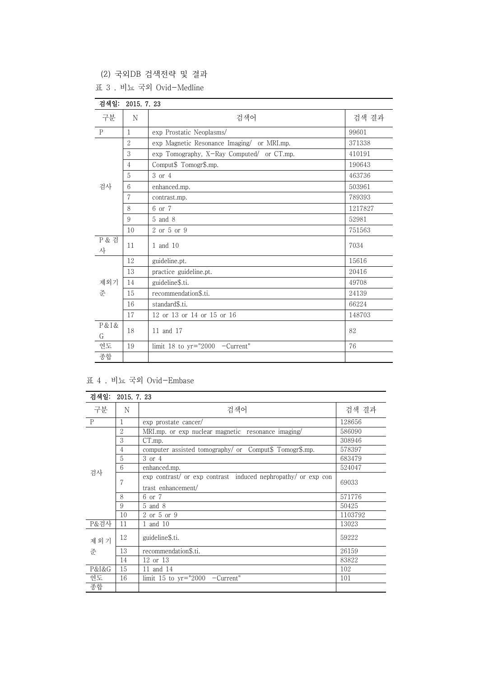(2) 국외DB 검색전략 및 결과

|  |  |  |  |  | 표 3 . 비뇨 국외 Ovid-Medline |
|--|--|--|--|--|--------------------------|
|--|--|--|--|--|--------------------------|

| 검색일:                  | 2015. 7. 23    |                                            |         |  |  |  |  |
|-----------------------|----------------|--------------------------------------------|---------|--|--|--|--|
| 구분                    | N              | 검색어<br>검색 결과                               |         |  |  |  |  |
| $\mathbf P$           | $\mathbf{1}$   | 99601<br>exp Prostatic Neoplasms/          |         |  |  |  |  |
| 검사                    | $\overline{2}$ | exp Magnetic Resonance Imaging/ or MRI.mp. | 371338  |  |  |  |  |
|                       | 3              | exp Tomography, X-Ray Computed/ or CT.mp.  | 410191  |  |  |  |  |
|                       | $\overline{4}$ | Comput\$ Tomogr\$.mp.                      | 190643  |  |  |  |  |
|                       | 5              | 3 or 4                                     | 463736  |  |  |  |  |
|                       | 6              | enhanced.mp.                               | 503961  |  |  |  |  |
|                       | 7              | contrast.mp.                               | 789393  |  |  |  |  |
|                       | 8              | 6 or 7                                     | 1217827 |  |  |  |  |
|                       | 9              | 5 and 8                                    | 52981   |  |  |  |  |
|                       | 10             | 2 or 5 or 9                                | 751563  |  |  |  |  |
| <b>P &amp; 검</b><br>사 | 11             | 1 and 10                                   | 7034    |  |  |  |  |
|                       | 12             | guideline.pt.                              | 15616   |  |  |  |  |
|                       | 13             | practice guideline.pt.                     | 20416   |  |  |  |  |
| 제외기                   | 14             | guideline\$.ti.                            | 49708   |  |  |  |  |
| 준                     | 15             | recommendation\$.ti.                       | 24139   |  |  |  |  |
|                       | 16             | standard\$.ti.                             | 66224   |  |  |  |  |
|                       | 17             | 12 or 13 or 14 or 15 or 16                 | 148703  |  |  |  |  |
| P & I &<br>G          | 18             | 11 and 17                                  | 82      |  |  |  |  |
| 연도                    | 19             | limit 18 to yr="2000 -Current"             | 76      |  |  |  |  |
| 종합                    |                |                                            |         |  |  |  |  |

## 표 4 . 비뇨 국외 Ovid-Embase

| 검색일:         | 2015. 7. 23 |                                                                                     |         |  |  |
|--------------|-------------|-------------------------------------------------------------------------------------|---------|--|--|
| 구분           | N           | 검색어                                                                                 | 검색 결과   |  |  |
| $\mathbf{P}$ | 1           | exp prostate cancer/                                                                | 128656  |  |  |
|              | 2           | MRI.mp. or exp nuclear magnetic resonance imaging/                                  | 586090  |  |  |
|              | 3           | CT.mp.                                                                              | 308946  |  |  |
|              | 4           | computer assisted tomography/ or Comput\$ Tomogr\$.mp.                              | 578397  |  |  |
|              | 5           | 3 or 4                                                                              | 683479  |  |  |
|              | 6           | enhanced.mp.                                                                        | 524047  |  |  |
| 검사           | 7           | exp contrast/ or exp contrast induced nephropathy/ or exp con<br>trast enhancement/ | 69033   |  |  |
|              | 8           | 6 or 7                                                                              | 571776  |  |  |
|              | 9           | $5$ and $8$                                                                         | 50425   |  |  |
|              | 10          | 2 or 5 or 9                                                                         | 1103792 |  |  |
| P&검사         | 11          | 1 and 10                                                                            | 13023   |  |  |
| 제외기          | 12          | guideline\$.ti.                                                                     | 59222   |  |  |
| 준            | 13          | recommendation\$.ti.                                                                | 26159   |  |  |
|              | 14          | 12 or 13                                                                            | 83822   |  |  |
| P&I&G        | 15          | 11 and 14                                                                           | 102     |  |  |
| 연도           | 16          | limit 15 to $yr="2000$ -Current"<br>101                                             |         |  |  |
| 종합           |             |                                                                                     |         |  |  |